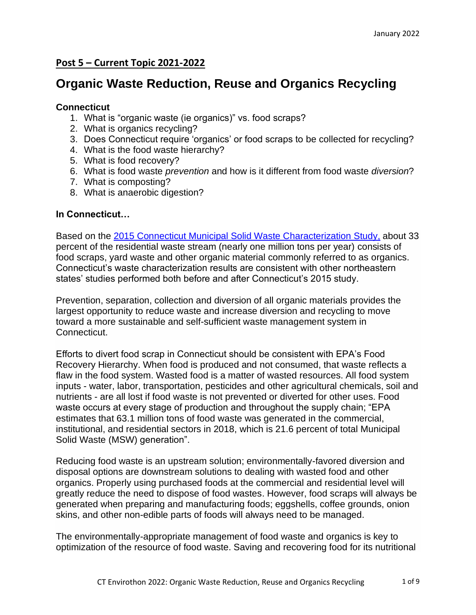# **Post 5 – Current Topic 2021-2022**

# **Organic Waste Reduction, Reuse and Organics Recycling**

### **Connecticut**

- 1. What is "organic waste (ie organics)" vs. food scraps?
- 2. What is organics recycling?
- 3. Does Connecticut require 'organics' or food scraps to be collected for recycling?
- 4. What is the food waste hierarchy?
- 5. What is food recovery?
- 6. What is food waste *prevention* and how is it different from food waste *diversion*?
- 7. What is composting?
- 8. What is anaerobic digestion?

## **In Connecticut…**

Based on the [2015 Connecticut Municipal Solid Waste Characterization Study,](https://portal.ct.gov/-/media/DEEP/waste_management_and_disposal/Solid_Waste_Management_Plan/CMMSFinal2015MSWCharacterizationStudypdf.pdf) about 33 percent of the residential waste stream (nearly one million tons per year) consists of food scraps, yard waste and other organic material commonly referred to as organics. Connecticut's waste characterization results are consistent with other northeastern states' studies performed both before and after Connecticut's 2015 study.

Prevention, separation, collection and diversion of all organic materials provides the largest opportunity to reduce waste and increase diversion and recycling to move toward a more sustainable and self-sufficient waste management system in Connecticut.

Efforts to divert food scrap in Connecticut should be consistent with EPA's Food Recovery Hierarchy. When food is produced and not consumed, that waste reflects a flaw in the food system. Wasted food is a matter of wasted resources. All food system inputs - water, labor, transportation, pesticides and other agricultural chemicals, soil and nutrients - are all lost if food waste is not prevented or diverted for other uses. Food waste occurs at every stage of production and throughout the supply chain; "EPA estimates that 63.1 million tons of food waste was generated in the commercial, institutional, and residential sectors in 2018, which is 21.6 percent of total Municipal Solid Waste (MSW) generation".

Reducing food waste is an upstream solution; environmentally-favored diversion and disposal options are downstream solutions to dealing with wasted food and other organics. Properly using purchased foods at the commercial and residential level will greatly reduce the need to dispose of food wastes. However, food scraps will always be generated when preparing and manufacturing foods; eggshells, coffee grounds, onion skins, and other non-edible parts of foods will always need to be managed.

The environmentally-appropriate management of food waste and organics is key to optimization of the resource of food waste. Saving and recovering food for its nutritional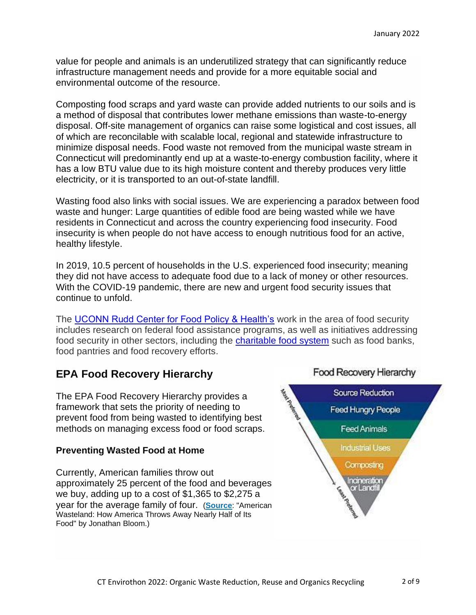value for people and animals is an underutilized strategy that can significantly reduce infrastructure management needs and provide for a more equitable social and environmental outcome of the resource.

Composting food scraps and yard waste can provide added nutrients to our soils and is a method of disposal that contributes lower methane emissions than waste-to-energy disposal. Off-site management of organics can raise some logistical and cost issues, all of which are reconcilable with scalable local, regional and statewide infrastructure to minimize disposal needs. Food waste not removed from the municipal waste stream in Connecticut will predominantly end up at a waste-to-energy combustion facility, where it has a low BTU value due to its high moisture content and thereby produces very little electricity, or it is transported to an out-of-state landfill.

Wasting food also links with social issues. We are experiencing a paradox between food waste and hunger: Large quantities of edible food are being wasted while we have residents in Connecticut and across the country experiencing food insecurity. Food insecurity is when people do not have access to enough nutritious food for an active, healthy lifestyle.

In 2019, 10.5 percent of households in the U.S. experienced food insecurity; meaning they did not have access to adequate food due to a lack of money or other resources. With the COVID-19 pandemic, there are new and urgent food security issues that continue to unfold.

The [UCONN Rudd Center for Food Policy & Health's](https://uconnruddcenter.org/research/foodsecurity/) work in the area of food security includes research on federal food assistance programs, as well as initiatives addressing food security in other sectors, including the [charitable food system](https://uconnruddcenter.org/research/foodsecurity/charitable-food/) such as food banks, food pantries and food recovery efforts.

# **EPA Food Recovery Hierarchy**

The EPA Food Recovery Hierarchy provides a framework that sets the priority of needing to prevent food from being wasted to identifying best methods on managing excess food or food scraps.

# **Preventing Wasted Food at Home**

Currently, American families throw out approximately 25 percent of the food and beverages we buy, adding up to a cost of \$1,365 to \$2,275 a year for the average family of four. (**[Source](http://www.americanwastelandbook.com/)**: "American Wasteland: How America Throws Away Nearly Half of Its Food" by Jonathan Bloom.)

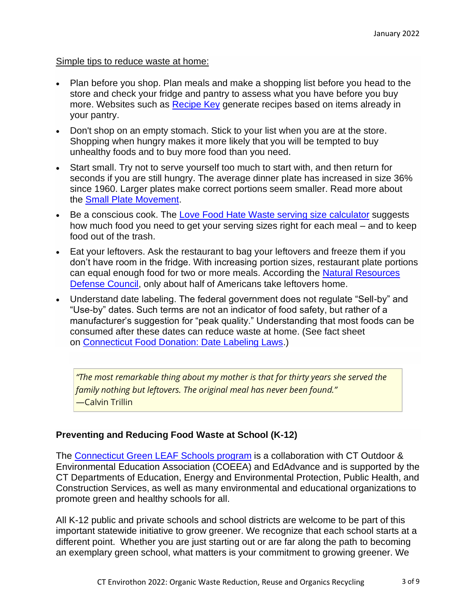#### Simple tips to reduce waste at home:

- Plan before you shop. Plan meals and make a shopping list before you head to the store and check your fridge and pantry to assess what you have before you buy more. Websites such as [Recipe Key](http://www.recipekey.com/#main) generate recipes based on items already in your pantry.
- Don't shop on an empty stomach. Stick to your list when you are at the store. Shopping when hungry makes it more likely that you will be tempted to buy unhealthy foods and to buy more food than you need.
- Start small. Try not to serve yourself too much to start with, and then return for seconds if you are still hungry. The average dinner plate has increased in size 36% since 1960. Larger plates make correct portions seem smaller. Read more about the [Small Plate Movement.](http://www.smallplatemovement.org/)
- Be a conscious cook. The [Love Food Hate Waste serving size](https://www.lovefoodhatewaste.com/portion-planner) calculator suggests how much food you need to get your serving sizes right for each meal – and to keep food out of the trash.
- Eat your leftovers. Ask the restaurant to bag your leftovers and freeze them if you don't have room in the fridge. With increasing portion sizes, restaurant plate portions can equal enough food for two or more meals. According the [Natural Resources](https://www.nrdc.org/issues/food-waste)  [Defense Council,](https://www.nrdc.org/issues/food-waste) only about half of Americans take leftovers home.
- Understand date labeling. The federal government does not regulate "Sell-by" and "Use-by" dates. Such terms are not an indicator of food safety, but rather of a manufacturer's suggestion for "peak quality." Understanding that most foods can be consumed after these dates can reduce waste at home. (See fact sheet on Connecticut [Food Donation: Date Labeling Laws.](https://portal.ct.gov/-/media/DEEP/waste_management_and_disposal/Solid_Waste_Management_Plan/Final_Harvard_Food_Fact_Sheets/FINALDateLabelingFactSheetforConnecticutFoodDonationpdf.pdf))

*"The most remarkable thing about my mother is that for thirty years she served the family nothing but leftovers. The original meal has never been found."* —Calvin Trillin

# **Preventing and Reducing Food Waste at School (K-12)**

The [Connecticut](https://www.coeea.org/about-ct-green-leaf-schools) Green LEAF Schools program is a collaboration with CT Outdoor & Environmental Education Association (COEEA) and EdAdvance and is supported by the CT Departments of Education, Energy and Environmental Protection, Public Health, and Construction Services, as well as many environmental and educational organizations to promote green and healthy schools for all.

All K-12 public and private schools and school districts are welcome to be part of this important statewide initiative to grow greener. We recognize that each school starts at a different point. Whether you are just starting out or are far along the path to becoming an exemplary green school, what matters is your commitment to growing greener. We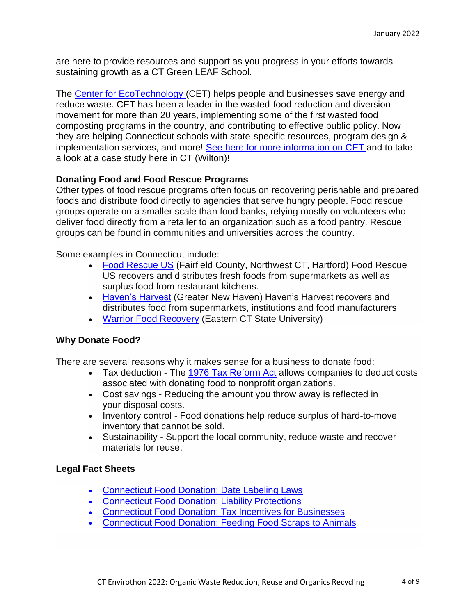are here to provide resources and support as you progress in your efforts towards sustaining growth as a CT Green LEAF School.

The Center for [EcoTechnology](https://wastedfood.cetonline.org/states/connecticut/#:~:text=CET%20has%20helped%20dozens%20of,mail%20wastedfood%40cetonline.org.) (CET) helps people and businesses save energy and reduce waste. CET has been a leader in the wasted-food reduction and diversion movement for more than 20 years, implementing some of the first wasted food composting programs in the country, and contributing to effective public policy. Now they are helping Connecticut schools with state-specific resources, program design & implementation services, and more! See here for more [information](https://www.centerforecotechnology.org/reduce-waste-at-work/#cet-reduce-waste-at-work-anchor-case-studies) on CET and to take a look at a case study here in CT (Wilton)!

# **Donating Food and Food Rescue Programs**

Other types of food rescue programs often focus on recovering perishable and prepared foods and distribute food directly to agencies that serve hungry people. Food rescue groups operate on a smaller scale than food banks, relying mostly on volunteers who deliver food directly from a retailer to an organization such as a food pantry. Rescue groups can be found in communities and universities across the country.

Some examples in Connecticut include:

- [Food Rescue US](https://foodrescue.us/about/our-locations/) (Fairfield County, Northwest CT, Hartford) Food Rescue US recovers and distributes fresh foods from supermarkets as well as surplus food from restaurant kitchens.
- [Haven's Harvest](https://www.havensharvest.org/about-us) (Greater New Haven) Haven's Harvest recovers and distributes food from supermarkets, institutions and food manufacturers
- [Warrior Food Recovery](https://www.easternct.edu/sustainability/sustainable-dining/warrior-food-recovery.html) (Eastern CT State University)

#### **Why Donate Food?**

There are several reasons why it makes sense for a business to donate food:

- Tax deduction The [1976 Tax Reform Act](https://www.jct.gov/publications.html?func=startdown&id=2402) allows companies to deduct costs associated with donating food to nonprofit organizations.
- Cost savings Reducing the amount you throw away is reflected in your disposal costs.
- Inventory control Food donations help reduce surplus of hard-to-move inventory that cannot be sold.
- Sustainability Support the local community, reduce waste and recover materials for reuse.

#### **Legal Fact Sheets**

- [Connecticut Food Donation: Date Labeling Laws](https://portal.ct.gov/-/media/DEEP/waste_management_and_disposal/Solid_Waste_Management_Plan/Final_Harvard_Food_Fact_Sheets/FINALDateLabelingFactSheetforConnecticutFoodDonationpdf.pdf)
- [Connecticut Food Donation: Liability Protections](https://portal.ct.gov/-/media/DEEP/waste_management_and_disposal/Solid_Waste_Management_Plan/Final_Harvard_Food_Fact_Sheets/FINALLiabilityFactSheetforConnecticutFoodDonationspdf.pdf)
- [Connecticut Food Donation: Tax Incentives for Businesses](https://portal.ct.gov/-/media/DEEP/waste_management_and_disposal/Solid_Waste_Management_Plan/Final_Harvard_Food_Fact_Sheets/FINALTaxIncentivesFactSheetforConnecticutFoodDonationpdf.pdf)
- [Connecticut Food Donation: Feeding Food Scraps to Animals](https://portal.ct.gov/-/media/DEEP/waste_management_and_disposal/Solid_Waste_Management_Plan/Final_Harvard_Food_Fact_Sheets/AnimalFeedFactSheetPDF.pdf)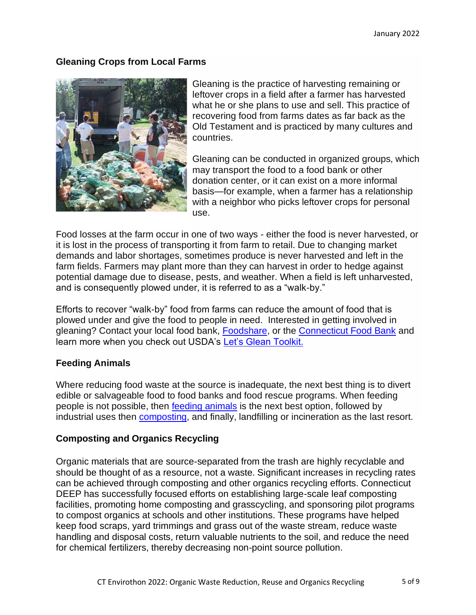## **Gleaning Crops from Local Farms**



Gleaning is the practice of harvesting remaining or leftover crops in a field after a farmer has harvested what he or she plans to use and sell. This practice of recovering food from farms dates as far back as the Old Testament and is practiced by many cultures and countries.

Gleaning can be conducted in organized groups, which may transport the food to a food bank or other donation center, or it can exist on a more informal basis—for example, when a farmer has a relationship with a neighbor who picks leftover crops for personal use.

Food losses at the farm occur in one of two ways - either the food is never harvested, or it is lost in the process of transporting it from farm to retail. Due to changing market demands and labor shortages, sometimes produce is never harvested and left in the farm fields. Farmers may plant more than they can harvest in order to hedge against potential damage due to disease, pests, and weather. When a field is left unharvested, and is consequently plowed under, it is referred to as a "walk-by."

Efforts to recover "walk-by" food from farms can reduce the amount of food that is plowed under and give the food to people in need. Interested in getting involved in gleaning? Contact your local food bank, [Foodshare,](http://site.foodshare.org/site/PageServer?pagename=2017_help) or the [Connecticut Food Bank](https://www.ctfoodbank.org/3507-2/) and learn more when you check out USDA's [Let's Glean Toolkit.](https://www.usda.gov/sites/default/files/documents/usda_gleaning_toolkit.pdf)

#### **Feeding Animals**

Where reducing food waste at the source is inadequate, the next best thing is to divert edible or salvageable food to food banks and food rescue programs. When feeding people is not possible, then [feeding animals](https://portal.ct.gov/DEEP/Waste-Management-and-Disposal/Organics-Recycling/Large-Scale-Organics-Management) is the next best option, followed by industrial uses then [composting,](https://portal.ct.gov/DEEP/Waste-Management-and-Disposal/Organics-Recycling/Composting-and-Organics-Recycling) and finally, landfilling or incineration as the last resort.

## **Composting and Organics Recycling**

Organic materials that are source-separated from the trash are highly recyclable and should be thought of as a resource, not a waste. Significant increases in recycling rates can be achieved through composting and other organics recycling efforts. Connecticut DEEP has successfully focused efforts on establishing large-scale leaf composting facilities, promoting home composting and grasscycling, and sponsoring pilot programs to compost organics at schools and other institutions. These programs have helped keep food scraps, yard trimmings and grass out of the waste stream, reduce waste handling and disposal costs, return valuable nutrients to the soil, and reduce the need for chemical fertilizers, thereby decreasing non-point source pollution.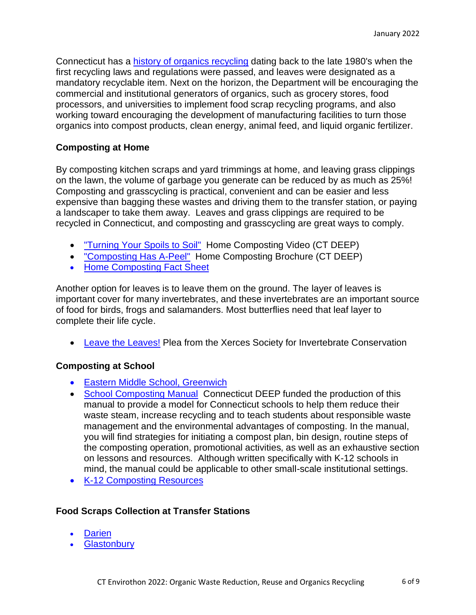Connecticut has a [history of organics recycling](https://portal.ct.gov/-/media/DEEP/compost/compost_pdf/OrganicsRecyclingHistoryTimelinepdf.pdf) dating back to the late 1980's when the first recycling laws and regulations were passed, and leaves were designated as a mandatory recyclable item. Next on the horizon, the Department will be encouraging the commercial and institutional generators of organics, such as grocery stores, food processors, and universities to implement food scrap recycling programs, and also working toward encouraging the development of manufacturing facilities to turn those organics into compost products, clean energy, animal feed, and liquid organic fertilizer.

### **Composting at Home**

By composting kitchen scraps and yard trimmings at home, and leaving grass clippings on the lawn, the volume of garbage you generate can be reduced by as much as 25%! Composting and grasscycling is practical, convenient and can be easier and less expensive than bagging these wastes and driving them to the transfer station, or paying a landscaper to take them away. Leaves and grass clippings are required to be recycled in Connecticut, and composting and grasscycling are great ways to comply.

- ["Turning Your Spoils to Soil"](https://portal.ct.gov/DEEP/Waste-Management-and-Disposal/Organics-Recycling/Compost-Video-Downloads#Home) Home Composting Video (CT DEEP)
- ["Composting Has A-Peel"](https://portal.ct.gov/-/media/DEEP/compost/compost_pdf/HomeCompostBrochurepdf.pdf) Home Composting Brochure (CT DEEP)
- [Home Composting Fact Sheet](https://portal.ct.gov/DEEP/Waste-Management-and-Disposal/Organics-Recycling/Home-Composting---Turn-Your-Spoils-into-Soil)

Another option for leaves is to leave them on the ground. The layer of leaves is important cover for many invertebrates, and these invertebrates are an important source of food for birds, frogs and salamanders. Most butterflies need that leaf layer to complete their life cycle.

• [Leave the Leaves!](https://xerces.org/blog/leave-the-leaves) Plea from the Xerces Society for Invertebrate Conservation

## **Composting at School**

- [Eastern Middle School, Greenwich](https://www.greenwichschools.org/eastern-middle-school/pta/treasury/community/greenschools)
- [School Composting Manual](https://portal.ct.gov/DEEP/Waste-Management-and-Disposal/Organics-Recycling/School-CompostingThe-Next-Step-In-Recycling) Connecticut DEEP funded the production of this manual to provide a model for Connecticut schools to help them reduce their waste steam, increase recycling and to teach students about responsible waste management and the environmental advantages of composting. In the manual, you will find strategies for initiating a compost plan, bin design, routine steps of the composting operation, promotional activities, as well as an exhaustive section on lessons and resources. Although written specifically with K-12 schools in mind, the manual could be applicable to other small-scale institutional settings.
- [K-12 Composting Resources](https://portal.ct.gov/DEEP/Reduce-Reuse-Recycle/Schools/Expanding-Your-School-Recycling-Program#Organic)

## **Food Scraps Collection at Transfer Stations**

- **[Darien](http://www.darienct.gov/filestorage/28565/28567/29165/29167/Food_Scrap_Recycling_Guide_101918.pdf)**
- **[Glastonbury](https://www.glastonbury-ct.gov/departments/department-directory-i-z/refuse-disposal-sanitation/food-waste-collection)**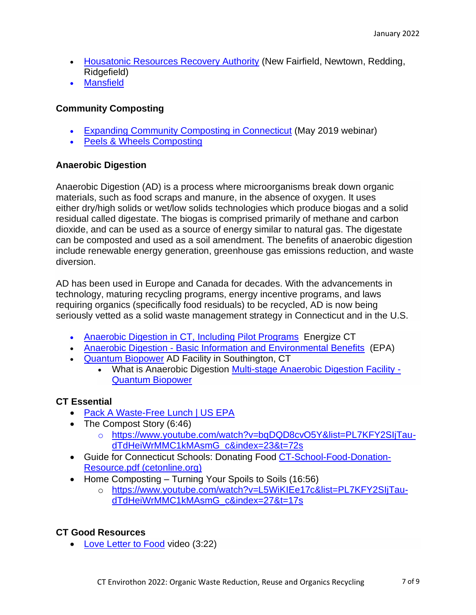- [Housatonic Resources Recovery Authority](http://hrra.org/organics-food-scraps/) (New Fairfield, Newtown, Redding, Ridgefield)
- [Mansfield](http://www.mansfieldct.gov/composting)

# **Community Composting**

- [Expanding Community Composting in Connecticut](https://ctdeep.zoom.us/recording/play/z1yVKruvJJAIwRqHvZGrT49ocxgQQhxp43WGOAKjNQJ-X5q0HHLNsrobqsxvPtZa?startTime=1558545293000) (May 2019 webinar)
- [Peels & Wheels Composting](https://www.pwcomposting.com/in)

## **Anaerobic Digestion**

Anaerobic Digestion (AD) is a process where microorganisms break down organic materials, such as food scraps and manure, in the absence of oxygen. It uses either dry/high solids or wet/low solids technologies which produce biogas and a solid residual called digestate. The biogas is comprised primarily of methane and carbon dioxide, and can be used as a source of energy similar to natural gas. The digestate can be composted and used as a soil amendment. The benefits of anaerobic digestion include renewable energy generation, greenhouse gas emissions reduction, and waste diversion.

AD has been used in Europe and Canada for decades. With the advancements in technology, maturing recycling programs, energy incentive programs, and laws requiring organics (specifically food residuals) to be recycled, AD is now being seriously vetted as a solid waste management strategy in Connecticut and in the U.S.

- [Anaerobic Digestion in CT,](https://www.energizect.com/events-resources/energy-basics/anaerobic-digestion) Including Pilot Programs Energize CT
- Anaerobic Digestion [Basic Information and Environmental Benefits](https://www.epa.gov/anaerobic-digestion) (EPA)
- [Quantum Biopower](http://www.quantumbiopower.com/) AD Facility in Southington, CT
	- What is Anaerobic Digestion [Multi-stage Anaerobic Digestion Facility -](http://www.quantumbiopower.com/clean-energy/anaerobic-digestion) [Quantum Biopower](http://www.quantumbiopower.com/clean-energy/anaerobic-digestion)

# **CT Essential**

- [Pack A Waste-Free Lunch | US EPA](https://www.epa.gov/students/pack-waste-free-lunch)
- The Compost Story (6:46)
	- o [https://www.youtube.com/watch?v=bqDQD8cvO5Y&list=PL7KFY2SIjTau](https://www.youtube.com/watch?v=bqDQD8cvO5Y&list=PL7KFY2SIjTau-dTdHeiWrMMC1kMAsmG_c&index=23&t=72s)[dTdHeiWrMMC1kMAsmG\\_c&index=23&t=72s](https://www.youtube.com/watch?v=bqDQD8cvO5Y&list=PL7KFY2SIjTau-dTdHeiWrMMC1kMAsmG_c&index=23&t=72s)
- Guide for Connecticut Schools: Donating Food [CT-School-Food-Donation-](https://wastedfood.cetonline.org/wp-content/uploads/2019/11/CT-School-Food-Donation-Resource.pdf)[Resource.pdf \(cetonline.org\)](https://wastedfood.cetonline.org/wp-content/uploads/2019/11/CT-School-Food-Donation-Resource.pdf)
- Home Composting Turning Your Spoils to Soils (16:56)
	- o [https://www.youtube.com/watch?v=L5WiKIEe17c&list=PL7KFY2SIjTau](https://www.youtube.com/watch?v=L5WiKIEe17c&list=PL7KFY2SIjTau-dTdHeiWrMMC1kMAsmG_c&index=27&t=17s)[dTdHeiWrMMC1kMAsmG\\_c&index=27&t=17s](https://www.youtube.com/watch?v=L5WiKIEe17c&list=PL7KFY2SIjTau-dTdHeiWrMMC1kMAsmG_c&index=27&t=17s)

## **CT Good Resources**

• [Love Letter to Food](https://www.youtube.com/watch?v=-5i-dCv7O8o) video (3:22)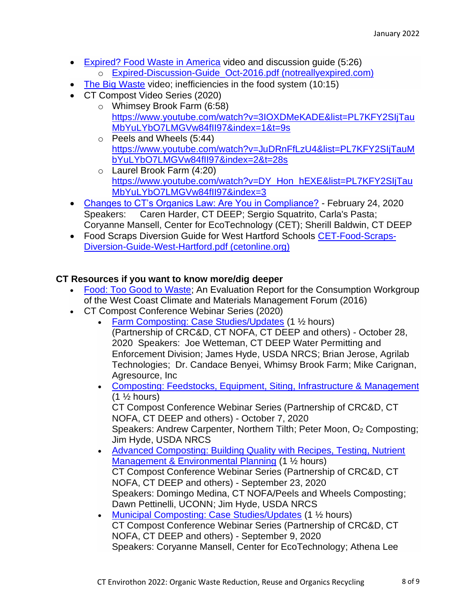- Expired? [Food Waste in America](https://notreallyexpired.com/the-film/) video and discussion guide (5:26)
	- o [Expired-Discussion-Guide\\_Oct-2016.pdf \(notreallyexpired.com\)](https://notreallyexpired.com/wp-content/uploads/2016/10/Expired-Discussion-Guide_Oct-2016.pdf)
- [The Big Waste](http://e360.yale.edu/feature/the_big_waste_why_do_we_throw_away_so_much_food/2874/) video; inefficiencies in the food system (10:15)
- CT Compost Video Series (2020)
	- o Whimsey Brook Farm (6:58) [https://www.youtube.com/watch?v=3IOXDMeKADE&list=PL7KFY2SIjTau](https://www.youtube.com/watch?v=3IOXDMeKADE&list=PL7KFY2SIjTauMbYuLYbO7LMGVw84fII97&index=1&t=9s) [MbYuLYbO7LMGVw84fII97&index=1&t=9s](https://www.youtube.com/watch?v=3IOXDMeKADE&list=PL7KFY2SIjTauMbYuLYbO7LMGVw84fII97&index=1&t=9s)
	- o Peels and Wheels (5:44) [https://www.youtube.com/watch?v=JuDRnFfLzU4&list=PL7KFY2SIjTauM](https://www.youtube.com/watch?v=JuDRnFfLzU4&list=PL7KFY2SIjTauMbYuLYbO7LMGVw84fII97&index=2&t=28s) [bYuLYbO7LMGVw84fII97&index=2&t=28s](https://www.youtube.com/watch?v=JuDRnFfLzU4&list=PL7KFY2SIjTauMbYuLYbO7LMGVw84fII97&index=2&t=28s)
	- o Laurel Brook Farm (4:20) [https://www.youtube.com/watch?v=DY\\_Hon\\_hEXE&list=PL7KFY2SIjTau](https://www.youtube.com/watch?v=DY_Hon_hEXE&list=PL7KFY2SIjTauMbYuLYbO7LMGVw84fII97&index=3) [MbYuLYbO7LMGVw84fII97&index=3](https://www.youtube.com/watch?v=DY_Hon_hEXE&list=PL7KFY2SIjTauMbYuLYbO7LMGVw84fII97&index=3)
- [Changes to CT's Organics Law: Are You in Compliance?](https://ctdeep.zoom.us/rec/share/5OJtKOqo2W5LH4XW5W_EdqA5PLrhaaa8hice_fJYzh0DQPM8Cq_PkLwbmZKfef_1?startTime=1582569596000) February 24, 2020 Speakers: Caren Harder, CT DEEP; Sergio Squatrito, Carla's Pasta; Coryanne Mansell, Center for EcoTechnology (CET); Sherill Baldwin, CT DEEP
- Food Scraps Diversion Guide for West Hartford Schools [CET-Food-Scraps-](https://wastedfood.cetonline.org/wp-content/uploads/2019/10/CET-Food-Scraps-Diversion-Guide-West-Hartford.pdf)[Diversion-Guide-West-Hartford.pdf \(cetonline.org\)](https://wastedfood.cetonline.org/wp-content/uploads/2019/10/CET-Food-Scraps-Diversion-Guide-West-Hartford.pdf)

# **CT Resources if you want to know more/dig deeper**

- [Food: Too Good to Waste;](https://www.epa.gov/sites/default/files/2016-07/documents/ftgtw_finalreport_7_19_16.pdf) An Evaluation Report for the Consumption Workgroup of the West Coast Climate and Materials Management Forum (2016)
- CT Compost Conference Webinar Series (2020)
	- [Farm Composting: Case Studies/Updates](https://ctdeep.zoom.us/rec/play/JSMgiNNDBHGyZEH-wC-Yy3MsVgJLvqvgbQ4bs2xDmSoK4KHDX5l5xrWJKCkFL2KX6rsO_0vGHpRxfiwF.aQcM274ps3gambLR?autoplay=true&startTime=1603913740000) (1 1/2 hours) (Partnership of CRC&D, CT NOFA, CT DEEP and others) - October 28, 2020 Speakers: Joe Wetteman, CT DEEP Water Permitting and Enforcement Division; James Hyde, USDA NRCS; Brian Jerose, Agrilab Technologies; Dr. Candace Benyei, Whimsy Brook Farm; Mike Carignan, Agresource, Inc
	- [Composting: Feedstocks, Equipment, Siting,](https://ctdeep.zoom.us/rec/play/yl030o2VaI1CQDGI6D6Gs9ieSMlRSd6iPaRSx9ZyThZJOWhiIMY-7Sy8gom3x7ul_uvuBCRUBXqATAK_.hjT5-N4iiF8S0H1I?autoplay=true&startTime=1602099776000) Infrastructure & Management  $(1 \frac{1}{2} \text{ hours})$ CT Compost Conference Webinar Series (Partnership of CRC&D, CT

NOFA, CT DEEP and others) - October 7, 2020 Speakers: Andrew Carpenter, Northern Tilth; Peter Moon, O<sub>2</sub> Composting; Jim Hyde, USDA NRCS

- [Advanced Composting: Building Quality with Recipes, Testing, Nutrient](https://ctdeep.zoom.us/rec/play/btx3AdFqYAebjbg23pGEUAqGNn8cggdpn1b7SqO3T7uvHmc0w1X0wMEUqlNTR3yfOTmUV669AvJMq4eP.AljdVZjDPOqo4xzq?autoplay=true&startTime=1600890322000)  [Management & Environmental Planning](https://ctdeep.zoom.us/rec/play/btx3AdFqYAebjbg23pGEUAqGNn8cggdpn1b7SqO3T7uvHmc0w1X0wMEUqlNTR3yfOTmUV669AvJMq4eP.AljdVZjDPOqo4xzq?autoplay=true&startTime=1600890322000) (1 ½ hours) CT Compost Conference Webinar Series (Partnership of CRC&D, CT NOFA, CT DEEP and others) - September 23, 2020 Speakers: Domingo Medina, CT NOFA/Peels and Wheels Composting; Dawn Pettinelli, UCONN; Jim Hyde, USDA NRCS
- [Municipal Composting: Case Studies/Updates](https://ctdeep.zoom.us/rec/play/yfM8lSs42HM_rnaY1cK7W9z5WIOi8TUfFelSze_4F4PlT0vpgsjoMyTkG9Dcs3cLDujE26JqUwIoUUQs.klX4YnWJSTL0v2rj?autoplay=true&startTime=1599680957000) (1 ½ hours) CT Compost Conference Webinar Series (Partnership of CRC&D, CT NOFA, CT DEEP and others) - September 9, 2020 Speakers: Coryanne Mansell, Center for EcoTechnology; Athena Lee